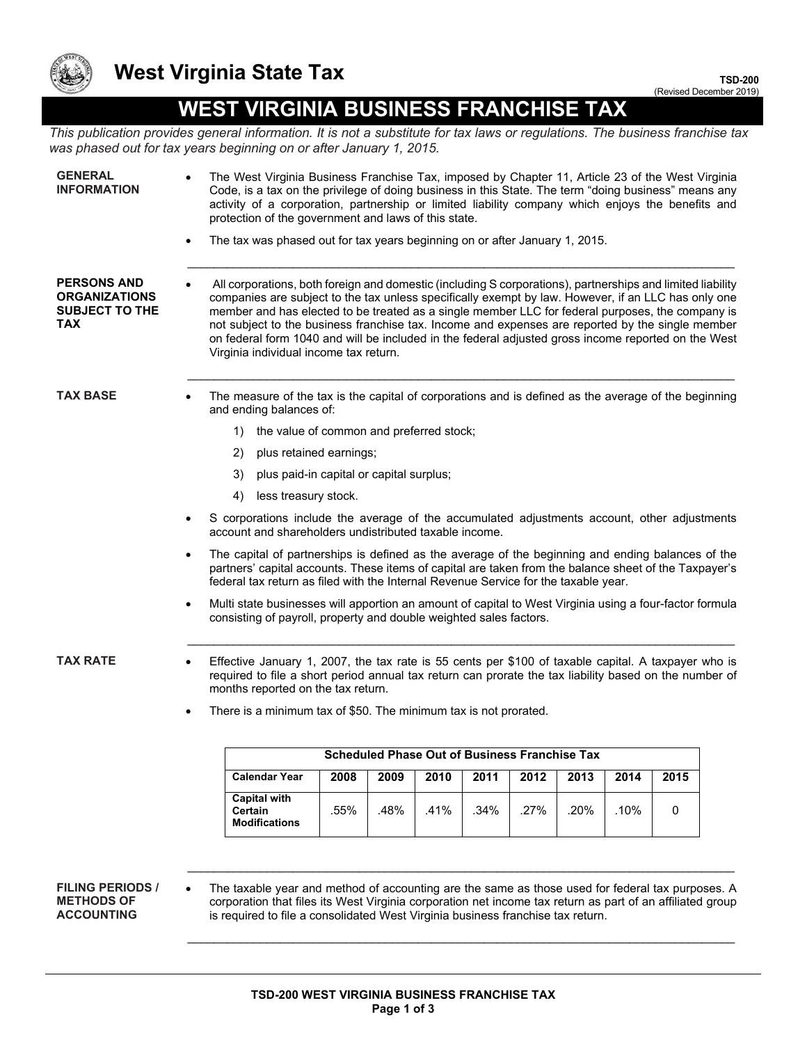

## **West Virginia State Tax**

**TSD-200** (Revised December 2019)

## **WEST VIRGINIA BUSINESS FRANCHISE TAX**

*This publication provides general information. It is not a substitute for tax laws or regulations. The business franchise tax was phased out for tax years beginning on or after January 1, 2015.*

| <b>GENERAL</b><br><b>INFORMATION</b>                                       | The West Virginia Business Franchise Tax, imposed by Chapter 11, Article 23 of the West Virginia<br>$\bullet$<br>Code, is a tax on the privilege of doing business in this State. The term "doing business" means any<br>activity of a corporation, partnership or limited liability company which enjoys the benefits and<br>protection of the government and laws of this state.                                                                                                                                                                                         |
|----------------------------------------------------------------------------|----------------------------------------------------------------------------------------------------------------------------------------------------------------------------------------------------------------------------------------------------------------------------------------------------------------------------------------------------------------------------------------------------------------------------------------------------------------------------------------------------------------------------------------------------------------------------|
|                                                                            | The tax was phased out for tax years beginning on or after January 1, 2015.<br>$\bullet$                                                                                                                                                                                                                                                                                                                                                                                                                                                                                   |
| <b>PERSONS AND</b><br><b>ORGANIZATIONS</b><br><b>SUBJECT TO THE</b><br>TAX | All corporations, both foreign and domestic (including S corporations), partnerships and limited liability<br>companies are subject to the tax unless specifically exempt by law. However, if an LLC has only one<br>member and has elected to be treated as a single member LLC for federal purposes, the company is<br>not subject to the business franchise tax. Income and expenses are reported by the single member<br>on federal form 1040 and will be included in the federal adjusted gross income reported on the West<br>Virginia individual income tax return. |
| <b>TAX BASE</b>                                                            | The measure of the tax is the capital of corporations and is defined as the average of the beginning<br>and ending balances of:                                                                                                                                                                                                                                                                                                                                                                                                                                            |
|                                                                            | the value of common and preferred stock;<br>1)                                                                                                                                                                                                                                                                                                                                                                                                                                                                                                                             |
|                                                                            | plus retained earnings;<br>2)                                                                                                                                                                                                                                                                                                                                                                                                                                                                                                                                              |
|                                                                            | 3)<br>plus paid-in capital or capital surplus;                                                                                                                                                                                                                                                                                                                                                                                                                                                                                                                             |
|                                                                            | 4)<br>less treasury stock.                                                                                                                                                                                                                                                                                                                                                                                                                                                                                                                                                 |
|                                                                            | S corporations include the average of the accumulated adjustments account, other adjustments<br>$\bullet$<br>account and shareholders undistributed taxable income.                                                                                                                                                                                                                                                                                                                                                                                                        |
|                                                                            | The capital of partnerships is defined as the average of the beginning and ending balances of the<br>$\bullet$<br>partners' capital accounts. These items of capital are taken from the balance sheet of the Taxpayer's<br>federal tax return as filed with the Internal Revenue Service for the taxable year.                                                                                                                                                                                                                                                             |
|                                                                            | Multi state businesses will apportion an amount of capital to West Virginia using a four-factor formula<br>$\bullet$<br>consisting of payroll, property and double weighted sales factors.                                                                                                                                                                                                                                                                                                                                                                                 |
| <b>TAX RATE</b>                                                            | Effective January 1, 2007, the tax rate is 55 cents per \$100 of taxable capital. A taxpayer who is<br>required to file a short period annual tax return can prorate the tax liability based on the number of<br>months reported on the tax return.                                                                                                                                                                                                                                                                                                                        |
|                                                                            | There is a minimum tax of \$50. The minimum tax is not prorated.                                                                                                                                                                                                                                                                                                                                                                                                                                                                                                           |
|                                                                            | <b>Scheduled Phase Out of Business Franchise Tax</b>                                                                                                                                                                                                                                                                                                                                                                                                                                                                                                                       |
|                                                                            | <b>Calendar Year</b><br>2008<br>2009<br>2010<br>2011<br>2012<br>2015<br>2013<br>2014                                                                                                                                                                                                                                                                                                                                                                                                                                                                                       |
|                                                                            | <b>Capital with</b><br>.55%<br>.48%<br>.41%<br>.34%<br>.27%<br>.20%<br>.10%<br>0<br>Certain<br><b>Modifications</b>                                                                                                                                                                                                                                                                                                                                                                                                                                                        |
|                                                                            |                                                                                                                                                                                                                                                                                                                                                                                                                                                                                                                                                                            |
| <b>FILING PERIODS /</b><br><b>METHODS OF</b><br><b>ACCOUNTING</b>          | The taxable year and method of accounting are the same as those used for federal tax purposes. A<br>corporation that files its West Virginia corporation net income tax return as part of an affiliated group<br>is required to file a consolidated West Virginia business franchise tax return.                                                                                                                                                                                                                                                                           |

 $\_$  , and the state of the state of the state of the state of the state of the state of the state of the state of the state of the state of the state of the state of the state of the state of the state of the state of the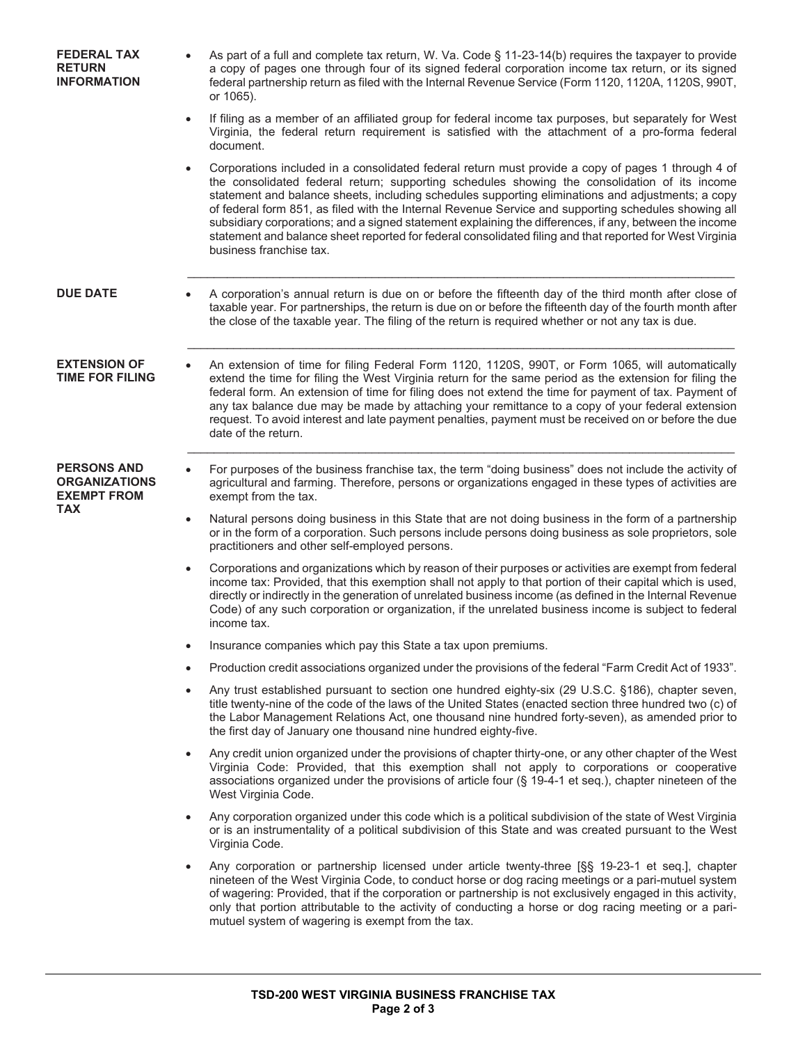| <b>FEDERAL TAX</b><br><b>RETURN</b><br><b>INFORMATION</b>        | As part of a full and complete tax return, W. Va. Code § 11-23-14(b) requires the taxpayer to provide<br>a copy of pages one through four of its signed federal corporation income tax return, or its signed<br>federal partnership return as filed with the Internal Revenue Service (Form 1120, 1120A, 1120S, 990T,<br>or 1065).                                                                                                                                                                                                                                                                                                                                |
|------------------------------------------------------------------|-------------------------------------------------------------------------------------------------------------------------------------------------------------------------------------------------------------------------------------------------------------------------------------------------------------------------------------------------------------------------------------------------------------------------------------------------------------------------------------------------------------------------------------------------------------------------------------------------------------------------------------------------------------------|
|                                                                  | If filing as a member of an affiliated group for federal income tax purposes, but separately for West<br>Virginia, the federal return requirement is satisfied with the attachment of a pro-forma federal<br>document.                                                                                                                                                                                                                                                                                                                                                                                                                                            |
|                                                                  | Corporations included in a consolidated federal return must provide a copy of pages 1 through 4 of<br>the consolidated federal return; supporting schedules showing the consolidation of its income<br>statement and balance sheets, including schedules supporting eliminations and adjustments; a copy<br>of federal form 851, as filed with the Internal Revenue Service and supporting schedules showing all<br>subsidiary corporations; and a signed statement explaining the differences, if any, between the income<br>statement and balance sheet reported for federal consolidated filing and that reported for West Virginia<br>business franchise tax. |
| <b>DUE DATE</b>                                                  | A corporation's annual return is due on or before the fifteenth day of the third month after close of<br>taxable year. For partnerships, the return is due on or before the fifteenth day of the fourth month after<br>the close of the taxable year. The filing of the return is required whether or not any tax is due.                                                                                                                                                                                                                                                                                                                                         |
| <b>EXTENSION OF</b><br><b>TIME FOR FILING</b>                    | An extension of time for filing Federal Form 1120, 1120S, 990T, or Form 1065, will automatically<br>extend the time for filing the West Virginia return for the same period as the extension for filing the<br>federal form. An extension of time for filing does not extend the time for payment of tax. Payment of<br>any tax balance due may be made by attaching your remittance to a copy of your federal extension<br>request. To avoid interest and late payment penalties, payment must be received on or before the due<br>date of the return.                                                                                                           |
| <b>PERSONS AND</b><br><b>ORGANIZATIONS</b><br><b>EXEMPT FROM</b> | For purposes of the business franchise tax, the term "doing business" does not include the activity of<br>agricultural and farming. Therefore, persons or organizations engaged in these types of activities are<br>exempt from the tax.                                                                                                                                                                                                                                                                                                                                                                                                                          |
| <b>TAX</b>                                                       | Natural persons doing business in this State that are not doing business in the form of a partnership<br>$\bullet$<br>or in the form of a corporation. Such persons include persons doing business as sole proprietors, sole<br>practitioners and other self-employed persons.                                                                                                                                                                                                                                                                                                                                                                                    |
|                                                                  | Corporations and organizations which by reason of their purposes or activities are exempt from federal<br>income tax: Provided, that this exemption shall not apply to that portion of their capital which is used,<br>directly or indirectly in the generation of unrelated business income (as defined in the Internal Revenue<br>Code) of any such corporation or organization, if the unrelated business income is subject to federal<br>income tax.                                                                                                                                                                                                          |
|                                                                  | Insurance companies which pay this State a tax upon premiums.<br>$\bullet$                                                                                                                                                                                                                                                                                                                                                                                                                                                                                                                                                                                        |
|                                                                  | Production credit associations organized under the provisions of the federal "Farm Credit Act of 1933".<br>$\bullet$                                                                                                                                                                                                                                                                                                                                                                                                                                                                                                                                              |
|                                                                  | Any trust established pursuant to section one hundred eighty-six (29 U.S.C. §186), chapter seven,<br>$\bullet$<br>title twenty-nine of the code of the laws of the United States (enacted section three hundred two (c) of<br>the Labor Management Relations Act, one thousand nine hundred forty-seven), as amended prior to<br>the first day of January one thousand nine hundred eighty-five.                                                                                                                                                                                                                                                                  |
|                                                                  | Any credit union organized under the provisions of chapter thirty-one, or any other chapter of the West<br>$\bullet$<br>Virginia Code: Provided, that this exemption shall not apply to corporations or cooperative<br>associations organized under the provisions of article four ( $\S$ 19-4-1 et seq.), chapter nineteen of the<br>West Virginia Code.                                                                                                                                                                                                                                                                                                         |
|                                                                  | Any corporation organized under this code which is a political subdivision of the state of West Virginia<br>or is an instrumentality of a political subdivision of this State and was created pursuant to the West<br>Virginia Code.                                                                                                                                                                                                                                                                                                                                                                                                                              |
|                                                                  | Any corporation or partnership licensed under article twenty-three [§§ 19-23-1 et seq.], chapter<br>nineteen of the West Virginia Code, to conduct horse or dog racing meetings or a pari-mutuel system<br>of wagering: Provided, that if the corporation or partnership is not exclusively engaged in this activity,<br>only that portion attributable to the activity of conducting a horse or dog racing meeting or a pari-<br>mutuel system of wagering is exempt from the tax.                                                                                                                                                                               |